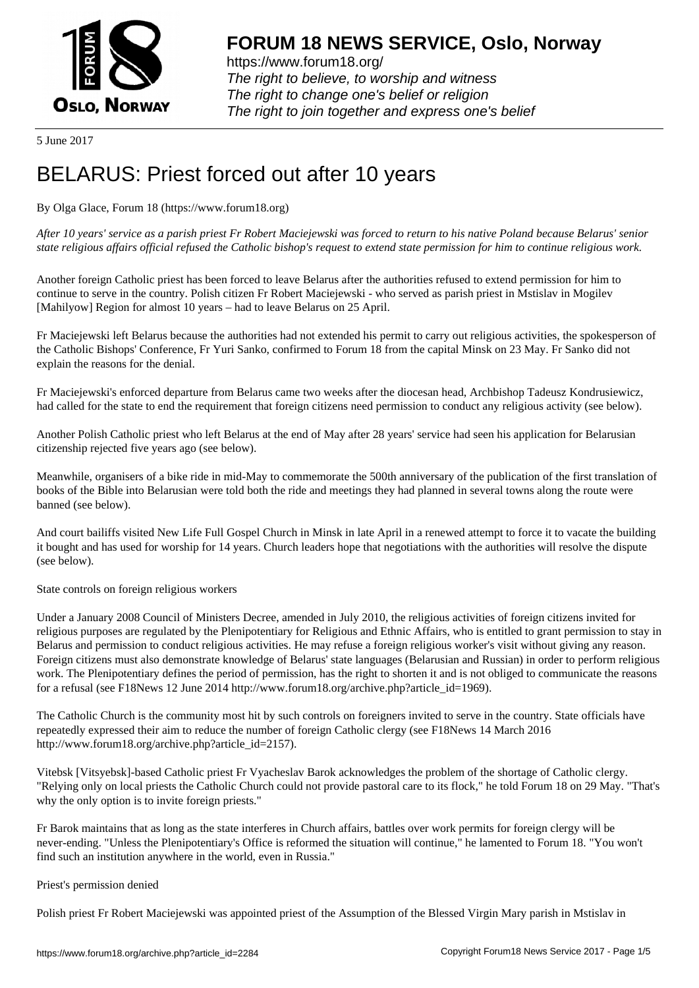

https://www.forum18.org/ The right to believe, to worship and witness The right to change one's belief or religion [The right to join together a](https://www.forum18.org/)nd express one's belief

5 June 2017

# [BELARUS: Prie](https://www.forum18.org)st forced out after 10 years

By Olga Glace, Forum 18 (https://www.forum18.org)

*After 10 years' service as a parish priest Fr Robert Maciejewski was forced to return to his native Poland because Belarus' senior state religious affairs official refused the Catholic bishop's request to extend state permission for him to continue religious work.*

Another foreign Catholic priest has been forced to leave Belarus after the authorities refused to extend permission for him to continue to serve in the country. Polish citizen Fr Robert Maciejewski - who served as parish priest in Mstislav in Mogilev [Mahilyow] Region for almost 10 years – had to leave Belarus on 25 April.

Fr Maciejewski left Belarus because the authorities had not extended his permit to carry out religious activities, the spokesperson of the Catholic Bishops' Conference, Fr Yuri Sanko, confirmed to Forum 18 from the capital Minsk on 23 May. Fr Sanko did not explain the reasons for the denial.

Fr Maciejewski's enforced departure from Belarus came two weeks after the diocesan head, Archbishop Tadeusz Kondrusiewicz, had called for the state to end the requirement that foreign citizens need permission to conduct any religious activity (see below).

Another Polish Catholic priest who left Belarus at the end of May after 28 years' service had seen his application for Belarusian citizenship rejected five years ago (see below).

Meanwhile, organisers of a bike ride in mid-May to commemorate the 500th anniversary of the publication of the first translation of books of the Bible into Belarusian were told both the ride and meetings they had planned in several towns along the route were banned (see below).

And court bailiffs visited New Life Full Gospel Church in Minsk in late April in a renewed attempt to force it to vacate the building it bought and has used for worship for 14 years. Church leaders hope that negotiations with the authorities will resolve the dispute (see below).

State controls on foreign religious workers

Under a January 2008 Council of Ministers Decree, amended in July 2010, the religious activities of foreign citizens invited for religious purposes are regulated by the Plenipotentiary for Religious and Ethnic Affairs, who is entitled to grant permission to stay in Belarus and permission to conduct religious activities. He may refuse a foreign religious worker's visit without giving any reason. Foreign citizens must also demonstrate knowledge of Belarus' state languages (Belarusian and Russian) in order to perform religious work. The Plenipotentiary defines the period of permission, has the right to shorten it and is not obliged to communicate the reasons for a refusal (see F18News 12 June 2014 http://www.forum18.org/archive.php?article\_id=1969).

The Catholic Church is the community most hit by such controls on foreigners invited to serve in the country. State officials have repeatedly expressed their aim to reduce the number of foreign Catholic clergy (see F18News 14 March 2016 http://www.forum18.org/archive.php?article\_id=2157).

Vitebsk [Vitsyebsk]-based Catholic priest Fr Vyacheslav Barok acknowledges the problem of the shortage of Catholic clergy. "Relying only on local priests the Catholic Church could not provide pastoral care to its flock," he told Forum 18 on 29 May. "That's why the only option is to invite foreign priests."

Fr Barok maintains that as long as the state interferes in Church affairs, battles over work permits for foreign clergy will be never-ending. "Unless the Plenipotentiary's Office is reformed the situation will continue," he lamented to Forum 18. "You won't find such an institution anywhere in the world, even in Russia."

## Priest's permission denied

Polish priest Fr Robert Maciejewski was appointed priest of the Assumption of the Blessed Virgin Mary parish in Mstislav in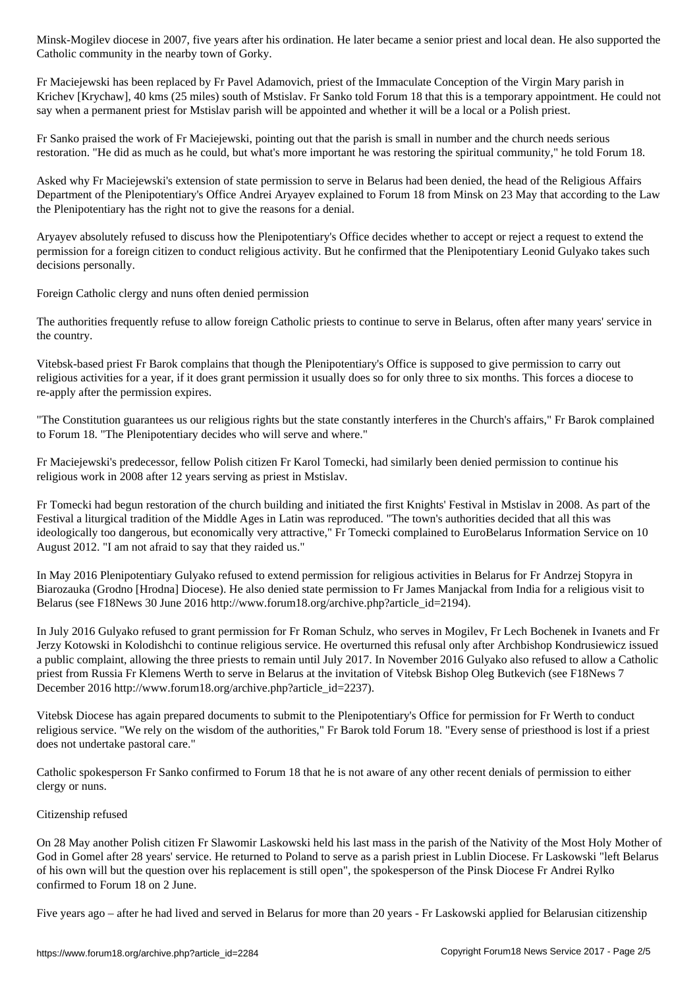Catholic community in the nearby town of Gorky.

Fr Maciejewski has been replaced by Fr Pavel Adamovich, priest of the Immaculate Conception of the Virgin Mary parish in Krichev [Krychaw], 40 kms (25 miles) south of Mstislav. Fr Sanko told Forum 18 that this is a temporary appointment. He could not say when a permanent priest for Mstislav parish will be appointed and whether it will be a local or a Polish priest.

Fr Sanko praised the work of Fr Maciejewski, pointing out that the parish is small in number and the church needs serious restoration. "He did as much as he could, but what's more important he was restoring the spiritual community," he told Forum 18.

Asked why Fr Maciejewski's extension of state permission to serve in Belarus had been denied, the head of the Religious Affairs Department of the Plenipotentiary's Office Andrei Aryayev explained to Forum 18 from Minsk on 23 May that according to the Law the Plenipotentiary has the right not to give the reasons for a denial.

Aryayev absolutely refused to discuss how the Plenipotentiary's Office decides whether to accept or reject a request to extend the permission for a foreign citizen to conduct religious activity. But he confirmed that the Plenipotentiary Leonid Gulyako takes such decisions personally.

Foreign Catholic clergy and nuns often denied permission

The authorities frequently refuse to allow foreign Catholic priests to continue to serve in Belarus, often after many years' service in the country.

Vitebsk-based priest Fr Barok complains that though the Plenipotentiary's Office is supposed to give permission to carry out religious activities for a year, if it does grant permission it usually does so for only three to six months. This forces a diocese to re-apply after the permission expires.

"The Constitution guarantees us our religious rights but the state constantly interferes in the Church's affairs," Fr Barok complained to Forum 18. "The Plenipotentiary decides who will serve and where."

Fr Maciejewski's predecessor, fellow Polish citizen Fr Karol Tomecki, had similarly been denied permission to continue his religious work in 2008 after 12 years serving as priest in Mstislav.

Fr Tomecki had begun restoration of the church building and initiated the first Knights' Festival in Mstislav in 2008. As part of the Festival a liturgical tradition of the Middle Ages in Latin was reproduced. "The town's authorities decided that all this was ideologically too dangerous, but economically very attractive," Fr Tomecki complained to EuroBelarus Information Service on 10 August 2012. "I am not afraid to say that they raided us."

In May 2016 Plenipotentiary Gulyako refused to extend permission for religious activities in Belarus for Fr Andrzej Stopyra in Biarozauka (Grodno [Hrodna] Diocese). He also denied state permission to Fr James Manjackal from India for a religious visit to Belarus (see F18News 30 June 2016 http://www.forum18.org/archive.php?article\_id=2194).

In July 2016 Gulyako refused to grant permission for Fr Roman Schulz, who serves in Mogilev, Fr Lech Bochenek in Ivanets and Fr Jerzy Kotowski in Kolodishchi to continue religious service. He overturned this refusal only after Archbishop Kondrusiewicz issued a public complaint, allowing the three priests to remain until July 2017. In November 2016 Gulyako also refused to allow a Catholic priest from Russia Fr Klemens Werth to serve in Belarus at the invitation of Vitebsk Bishop Oleg Butkevich (see F18News 7 December 2016 http://www.forum18.org/archive.php?article\_id=2237).

Vitebsk Diocese has again prepared documents to submit to the Plenipotentiary's Office for permission for Fr Werth to conduct religious service. "We rely on the wisdom of the authorities," Fr Barok told Forum 18. "Every sense of priesthood is lost if a priest does not undertake pastoral care."

Catholic spokesperson Fr Sanko confirmed to Forum 18 that he is not aware of any other recent denials of permission to either clergy or nuns.

## Citizenship refused

On 28 May another Polish citizen Fr Slawomir Laskowski held his last mass in the parish of the Nativity of the Most Holy Mother of God in Gomel after 28 years' service. He returned to Poland to serve as a parish priest in Lublin Diocese. Fr Laskowski "left Belarus of his own will but the question over his replacement is still open", the spokesperson of the Pinsk Diocese Fr Andrei Rylko confirmed to Forum 18 on 2 June.

Five years ago – after he had lived and served in Belarus for more than 20 years - Fr Laskowski applied for Belarusian citizenship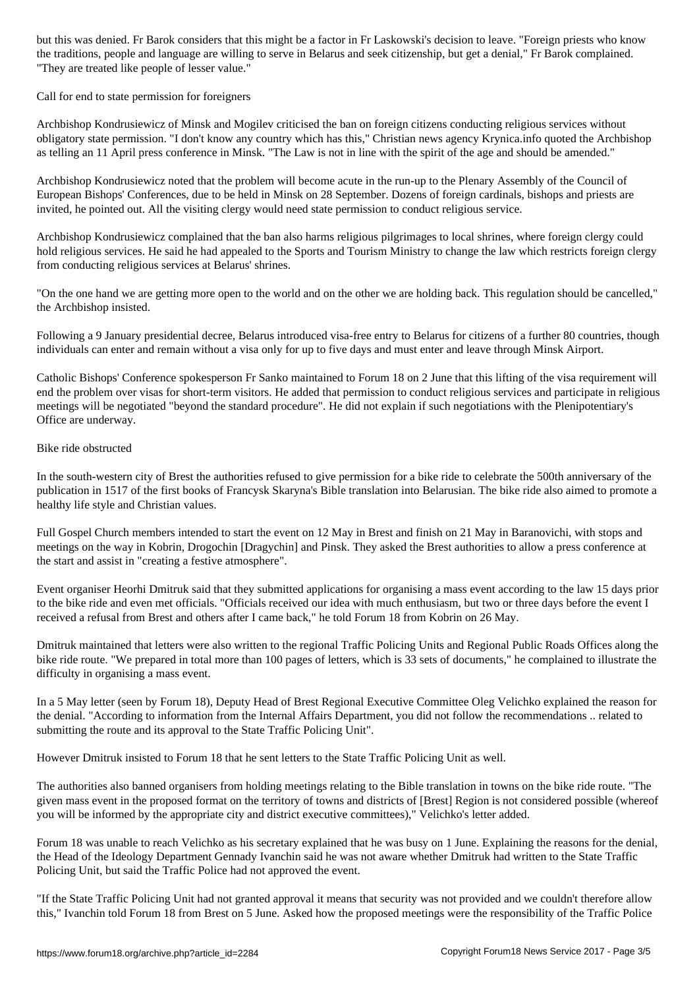the traditions, people and language are willing to serve in Belarus and seek citizenship, but get a denial," Fr Barok complained. "They are treated like people of lesser value."

### Call for end to state permission for foreigners

Archbishop Kondrusiewicz of Minsk and Mogilev criticised the ban on foreign citizens conducting religious services without obligatory state permission. "I don't know any country which has this," Christian news agency Krynica.info quoted the Archbishop as telling an 11 April press conference in Minsk. "The Law is not in line with the spirit of the age and should be amended."

Archbishop Kondrusiewicz noted that the problem will become acute in the run-up to the Plenary Assembly of the Council of European Bishops' Conferences, due to be held in Minsk on 28 September. Dozens of foreign cardinals, bishops and priests are invited, he pointed out. All the visiting clergy would need state permission to conduct religious service.

Archbishop Kondrusiewicz complained that the ban also harms religious pilgrimages to local shrines, where foreign clergy could hold religious services. He said he had appealed to the Sports and Tourism Ministry to change the law which restricts foreign clergy from conducting religious services at Belarus' shrines.

"On the one hand we are getting more open to the world and on the other we are holding back. This regulation should be cancelled," the Archbishop insisted.

Following a 9 January presidential decree, Belarus introduced visa-free entry to Belarus for citizens of a further 80 countries, though individuals can enter and remain without a visa only for up to five days and must enter and leave through Minsk Airport.

Catholic Bishops' Conference spokesperson Fr Sanko maintained to Forum 18 on 2 June that this lifting of the visa requirement will end the problem over visas for short-term visitors. He added that permission to conduct religious services and participate in religious meetings will be negotiated "beyond the standard procedure". He did not explain if such negotiations with the Plenipotentiary's Office are underway.

#### Bike ride obstructed

In the south-western city of Brest the authorities refused to give permission for a bike ride to celebrate the 500th anniversary of the publication in 1517 of the first books of Francysk Skaryna's Bible translation into Belarusian. The bike ride also aimed to promote a healthy life style and Christian values.

Full Gospel Church members intended to start the event on 12 May in Brest and finish on 21 May in Baranovichi, with stops and meetings on the way in Kobrin, Drogochin [Dragychin] and Pinsk. They asked the Brest authorities to allow a press conference at the start and assist in "creating a festive atmosphere".

Event organiser Heorhi Dmitruk said that they submitted applications for organising a mass event according to the law 15 days prior to the bike ride and even met officials. "Officials received our idea with much enthusiasm, but two or three days before the event I received a refusal from Brest and others after I came back," he told Forum 18 from Kobrin on 26 May.

Dmitruk maintained that letters were also written to the regional Traffic Policing Units and Regional Public Roads Offices along the bike ride route. "We prepared in total more than 100 pages of letters, which is 33 sets of documents," he complained to illustrate the difficulty in organising a mass event.

In a 5 May letter (seen by Forum 18), Deputy Head of Brest Regional Executive Committee Oleg Velichko explained the reason for the denial. "According to information from the Internal Affairs Department, you did not follow the recommendations .. related to submitting the route and its approval to the State Traffic Policing Unit".

However Dmitruk insisted to Forum 18 that he sent letters to the State Traffic Policing Unit as well.

The authorities also banned organisers from holding meetings relating to the Bible translation in towns on the bike ride route. "The given mass event in the proposed format on the territory of towns and districts of [Brest] Region is not considered possible (whereof you will be informed by the appropriate city and district executive committees)," Velichko's letter added.

Forum 18 was unable to reach Velichko as his secretary explained that he was busy on 1 June. Explaining the reasons for the denial, the Head of the Ideology Department Gennady Ivanchin said he was not aware whether Dmitruk had written to the State Traffic Policing Unit, but said the Traffic Police had not approved the event.

"If the State Traffic Policing Unit had not granted approval it means that security was not provided and we couldn't therefore allow this," Ivanchin told Forum 18 from Brest on 5 June. Asked how the proposed meetings were the responsibility of the Traffic Police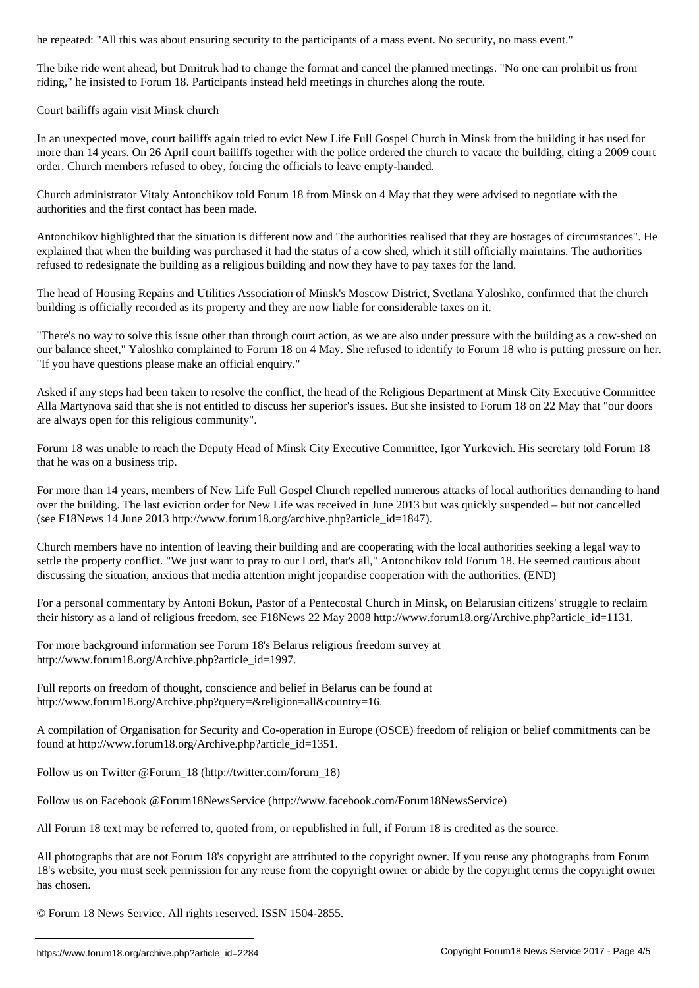The bike ride went ahead, but Dmitruk had to change the format and cancel the planned meetings. "No one can prohibit us from riding," he insisted to Forum 18. Participants instead held meetings in churches along the route.

Court bailiffs again visit Minsk church

In an unexpected move, court bailiffs again tried to evict New Life Full Gospel Church in Minsk from the building it has used for more than 14 years. On 26 April court bailiffs together with the police ordered the church to vacate the building, citing a 2009 court order. Church members refused to obey, forcing the officials to leave empty-handed.

Church administrator Vitaly Antonchikov told Forum 18 from Minsk on 4 May that they were advised to negotiate with the authorities and the first contact has been made.

Antonchikov highlighted that the situation is different now and "the authorities realised that they are hostages of circumstances". He explained that when the building was purchased it had the status of a cow shed, which it still officially maintains. The authorities refused to redesignate the building as a religious building and now they have to pay taxes for the land.

The head of Housing Repairs and Utilities Association of Minsk's Moscow District, Svetlana Yaloshko, confirmed that the church building is officially recorded as its property and they are now liable for considerable taxes on it.

"There's no way to solve this issue other than through court action, as we are also under pressure with the building as a cow-shed on our balance sheet," Yaloshko complained to Forum 18 on 4 May. She refused to identify to Forum 18 who is putting pressure on her. "If you have questions please make an official enquiry."

Asked if any steps had been taken to resolve the conflict, the head of the Religious Department at Minsk City Executive Committee Alla Martynova said that she is not entitled to discuss her superior's issues. But she insisted to Forum 18 on 22 May that "our doors are always open for this religious community".

Forum 18 was unable to reach the Deputy Head of Minsk City Executive Committee, Igor Yurkevich. His secretary told Forum 18 that he was on a business trip.

For more than 14 years, members of New Life Full Gospel Church repelled numerous attacks of local authorities demanding to hand over the building. The last eviction order for New Life was received in June 2013 but was quickly suspended – but not cancelled (see F18News 14 June 2013 http://www.forum18.org/archive.php?article\_id=1847).

Church members have no intention of leaving their building and are cooperating with the local authorities seeking a legal way to settle the property conflict. "We just want to pray to our Lord, that's all," Antonchikov told Forum 18. He seemed cautious about discussing the situation, anxious that media attention might jeopardise cooperation with the authorities. (END)

For a personal commentary by Antoni Bokun, Pastor of a Pentecostal Church in Minsk, on Belarusian citizens' struggle to reclaim their history as a land of religious freedom, see F18News 22 May 2008 http://www.forum18.org/Archive.php?article\_id=1131.

For more background information see Forum 18's Belarus religious freedom survey at http://www.forum18.org/Archive.php?article\_id=1997.

Full reports on freedom of thought, conscience and belief in Belarus can be found at http://www.forum18.org/Archive.php?query=&religion=all&country=16.

A compilation of Organisation for Security and Co-operation in Europe (OSCE) freedom of religion or belief commitments can be found at http://www.forum18.org/Archive.php?article\_id=1351.

Follow us on Twitter @Forum\_18 (http://twitter.com/forum\_18)

Follow us on Facebook @Forum18NewsService (http://www.facebook.com/Forum18NewsService)

All Forum 18 text may be referred to, quoted from, or republished in full, if Forum 18 is credited as the source.

All photographs that are not Forum 18's copyright are attributed to the copyright owner. If you reuse any photographs from Forum 18's website, you must seek permission for any reuse from the copyright owner or abide by the copyright terms the copyright owner has chosen.

© Forum 18 News Service. All rights reserved. ISSN 1504-2855.